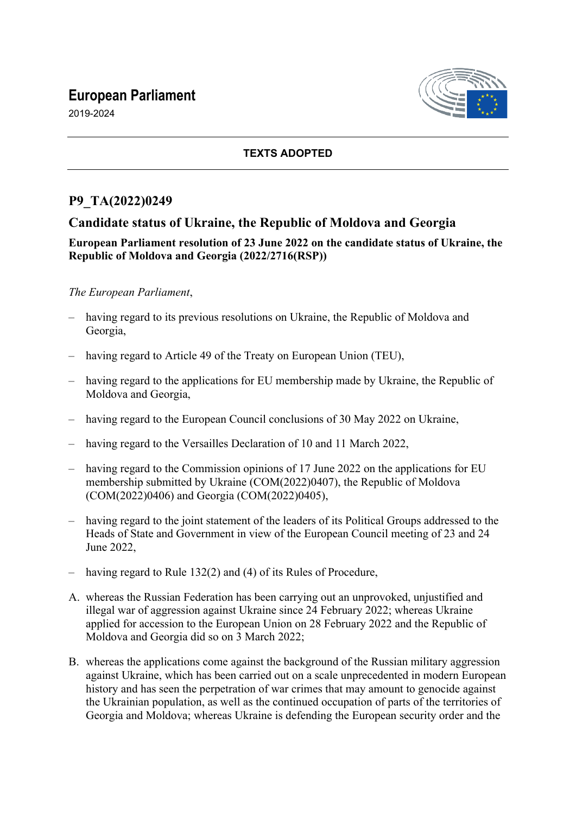# **European Parliament**

2019-2024



### **TEXTS ADOPTED**

## **P9\_TA(2022)0249**

## **Candidate status of Ukraine, the Republic of Moldova and Georgia**

### **European Parliament resolution of 23 June 2022 on the candidate status of Ukraine, the Republic of Moldova and Georgia (2022/2716(RSP))**

### *The European Parliament*,

- having regard to its previous resolutions on Ukraine, the Republic of Moldova and Georgia,
- having regard to Article 49 of the Treaty on European Union (TEU),
- having regard to the applications for EU membership made by Ukraine, the Republic of Moldova and Georgia,
- having regard to the European Council conclusions of 30 May 2022 on Ukraine,
- having regard to the Versailles Declaration of 10 and 11 March 2022,
- having regard to the Commission opinions of 17 June 2022 on the applications for EU membership submitted by Ukraine (COM(2022)0407), the Republic of Moldova (COM(2022)0406) and Georgia (COM(2022)0405),
- having regard to the joint statement of the leaders of its Political Groups addressed to the Heads of State and Government in view of the European Council meeting of 23 and 24 June 2022,
- having regard to Rule 132(2) and (4) of its Rules of Procedure,
- A. whereas the Russian Federation has been carrying out an unprovoked, unjustified and illegal war of aggression against Ukraine since 24 February 2022; whereas Ukraine applied for accession to the European Union on 28 February 2022 and the Republic of Moldova and Georgia did so on 3 March 2022;
- B. whereas the applications come against the background of the Russian military aggression against Ukraine, which has been carried out on a scale unprecedented in modern European history and has seen the perpetration of war crimes that may amount to genocide against the Ukrainian population, as well as the continued occupation of parts of the territories of Georgia and Moldova; whereas Ukraine is defending the European security order and the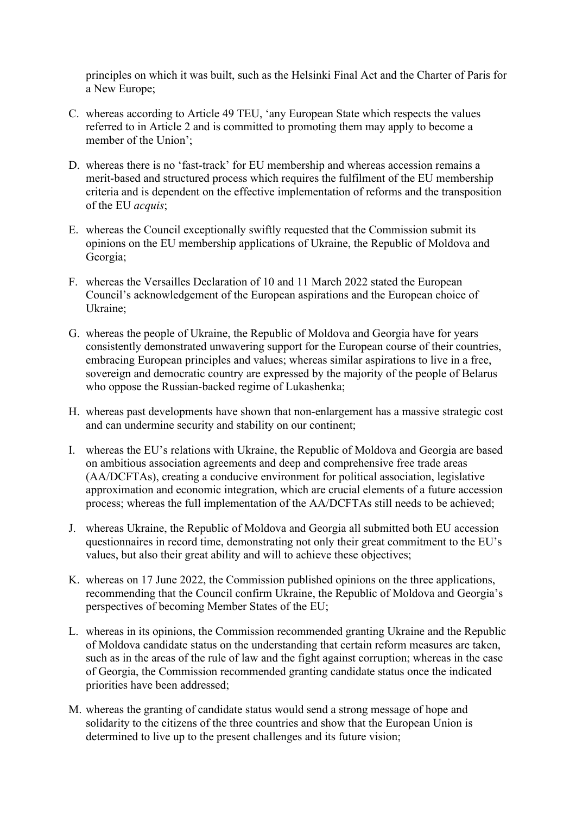principles on which it was built, such as the Helsinki Final Act and the Charter of Paris for a New Europe;

- C. whereas according to Article 49 TEU, 'any European State which respects the values referred to in Article 2 and is committed to promoting them may apply to become a member of the Union';
- D. whereas there is no 'fast-track' for EU membership and whereas accession remains a merit-based and structured process which requires the fulfilment of the EU membership criteria and is dependent on the effective implementation of reforms and the transposition of the EU *acquis*;
- E. whereas the Council exceptionally swiftly requested that the Commission submit its opinions on the EU membership applications of Ukraine, the Republic of Moldova and Georgia;
- F. whereas the Versailles Declaration of 10 and 11 March 2022 stated the European Council's acknowledgement of the European aspirations and the European choice of Ukraine;
- G. whereas the people of Ukraine, the Republic of Moldova and Georgia have for years consistently demonstrated unwavering support for the European course of their countries, embracing European principles and values; whereas similar aspirations to live in a free, sovereign and democratic country are expressed by the majority of the people of Belarus who oppose the Russian-backed regime of Lukashenka;
- H. whereas past developments have shown that non-enlargement has a massive strategic cost and can undermine security and stability on our continent;
- I. whereas the EU's relations with Ukraine, the Republic of Moldova and Georgia are based on ambitious association agreements and deep and comprehensive free trade areas (AA/DCFTAs), creating a conducive environment for political association, legislative approximation and economic integration, which are crucial elements of a future accession process; whereas the full implementation of the AA/DCFTAs still needs to be achieved;
- J. whereas Ukraine, the Republic of Moldova and Georgia all submitted both EU accession questionnaires in record time, demonstrating not only their great commitment to the EU's values, but also their great ability and will to achieve these objectives;
- K. whereas on 17 June 2022, the Commission published opinions on the three applications, recommending that the Council confirm Ukraine, the Republic of Moldova and Georgia's perspectives of becoming Member States of the EU;
- L. whereas in its opinions, the Commission recommended granting Ukraine and the Republic of Moldova candidate status on the understanding that certain reform measures are taken, such as in the areas of the rule of law and the fight against corruption; whereas in the case of Georgia, the Commission recommended granting candidate status once the indicated priorities have been addressed;
- M. whereas the granting of candidate status would send a strong message of hope and solidarity to the citizens of the three countries and show that the European Union is determined to live up to the present challenges and its future vision;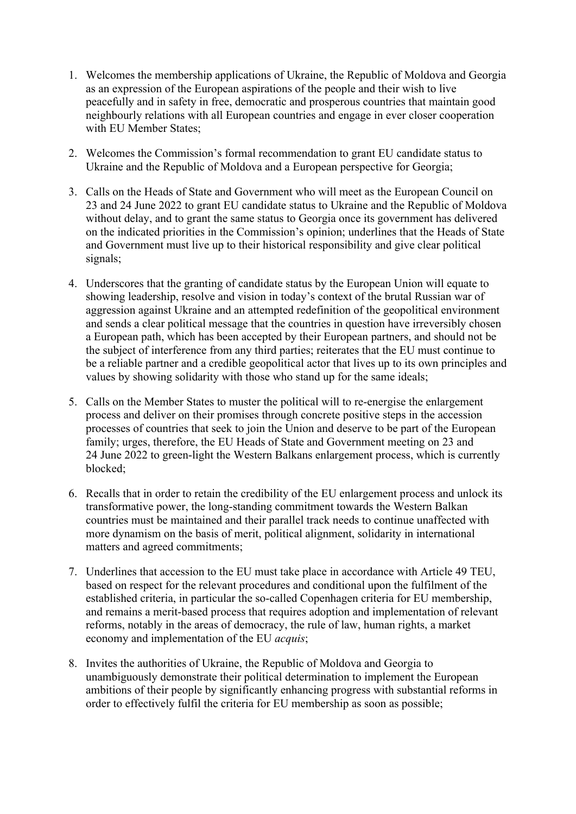- 1. Welcomes the membership applications of Ukraine, the Republic of Moldova and Georgia as an expression of the European aspirations of the people and their wish to live peacefully and in safety in free, democratic and prosperous countries that maintain good neighbourly relations with all European countries and engage in ever closer cooperation with EU Member States;
- 2. Welcomes the Commission's formal recommendation to grant EU candidate status to Ukraine and the Republic of Moldova and a European perspective for Georgia;
- 3. Calls on the Heads of State and Government who will meet as the European Council on 23 and 24 June 2022 to grant EU candidate status to Ukraine and the Republic of Moldova without delay, and to grant the same status to Georgia once its government has delivered on the indicated priorities in the Commission's opinion; underlines that the Heads of State and Government must live up to their historical responsibility and give clear political signals;
- 4. Underscores that the granting of candidate status by the European Union will equate to showing leadership, resolve and vision in today's context of the brutal Russian war of aggression against Ukraine and an attempted redefinition of the geopolitical environment and sends a clear political message that the countries in question have irreversibly chosen a European path, which has been accepted by their European partners, and should not be the subject of interference from any third parties; reiterates that the EU must continue to be a reliable partner and a credible geopolitical actor that lives up to its own principles and values by showing solidarity with those who stand up for the same ideals;
- 5. Calls on the Member States to muster the political will to re-energise the enlargement process and deliver on their promises through concrete positive steps in the accession processes of countries that seek to join the Union and deserve to be part of the European family; urges, therefore, the EU Heads of State and Government meeting on 23 and 24 June 2022 to green-light the Western Balkans enlargement process, which is currently blocked;
- 6. Recalls that in order to retain the credibility of the EU enlargement process and unlock its transformative power, the long-standing commitment towards the Western Balkan countries must be maintained and their parallel track needs to continue unaffected with more dynamism on the basis of merit, political alignment, solidarity in international matters and agreed commitments;
- 7. Underlines that accession to the EU must take place in accordance with Article 49 TEU, based on respect for the relevant procedures and conditional upon the fulfilment of the established criteria, in particular the so-called Copenhagen criteria for EU membership, and remains a merit-based process that requires adoption and implementation of relevant reforms, notably in the areas of democracy, the rule of law, human rights, a market economy and implementation of the EU *acquis*;
- 8. Invites the authorities of Ukraine, the Republic of Moldova and Georgia to unambiguously demonstrate their political determination to implement the European ambitions of their people by significantly enhancing progress with substantial reforms in order to effectively fulfil the criteria for EU membership as soon as possible;